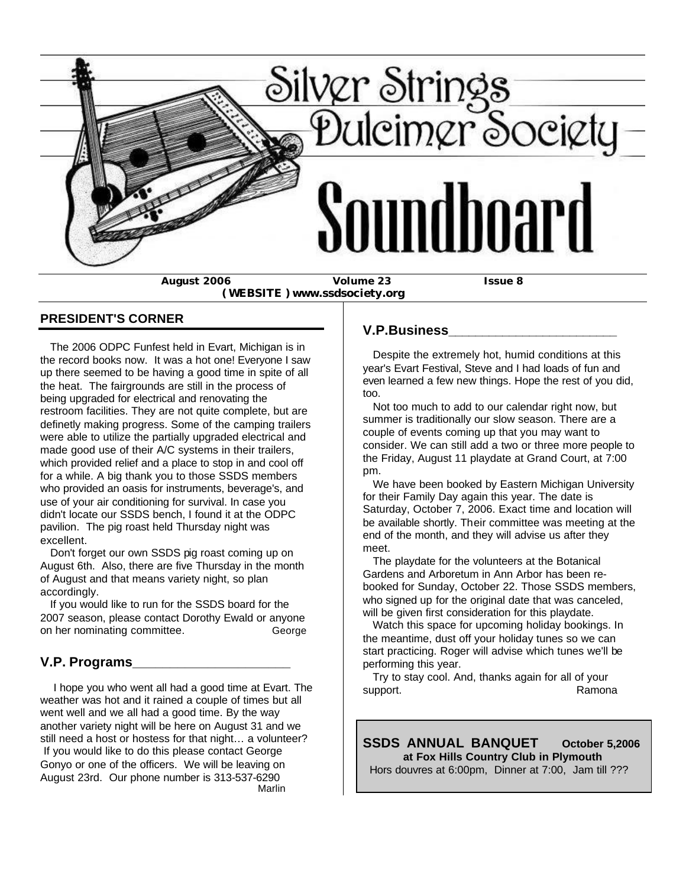

**August 2006 Volume 23 Issue 8**

 **( WEBSITE ) www.ssdsociety.org**

#### **PRESIDENT'S CORNER**

 The 2006 ODPC Funfest held in Evart, Michigan is in the record books now. It was a hot one! Everyone I saw up there seemed to be having a good time in spite of all the heat. The fairgrounds are still in the process of being upgraded for electrical and renovating the restroom facilities. They are not quite complete, but are definetly making progress. Some of the camping trailers were able to utilize the partially upgraded electrical and made good use of their A/C systems in their trailers, which provided relief and a place to stop in and cool off for a while. A big thank you to those SSDS members who provided an oasis for instruments, beverage's, and use of your air conditioning for survival. In case you didn't locate our SSDS bench, I found it at the ODPC pavilion. The pig roast held Thursday night was excellent.

 Don't forget our own SSDS pig roast coming up on August 6th. Also, there are five Thursday in the month of August and that means variety night, so plan accordingly.

 If you would like to run for the SSDS board for the 2007 season, please contact Dorothy Ewald or anyone on her nominating committee. George

## **V.P. Programs\_\_\_\_\_\_\_\_\_\_\_\_\_\_\_\_\_\_\_\_\_**

 I hope you who went all had a good time at Evart. The weather was hot and it rained a couple of times but all went well and we all had a good time. By the way another variety night will be here on August 31 and we still need a host or hostess for that night… a volunteer? If you would like to do this please contact George Gonyo or one of the officers. We will be leaving on August 23rd. Our phone number is 313-537-6290 Marlin and the contract of the Marlin Marlin and the Marlin State of the Marlin State of the Marlin State of t

#### **V.P.Business\_\_\_\_\_\_\_\_\_\_\_\_\_\_\_\_\_\_\_\_\_\_\_\_\_**

 Despite the extremely hot, humid conditions at this year's Evart Festival, Steve and I had loads of fun and even learned a few new things. Hope the rest of you did, too.

 Not too much to add to our calendar right now, but summer is traditionally our slow season. There are a couple of events coming up that you may want to consider. We can still add a two or three more people to the Friday, August 11 playdate at Grand Court, at 7:00 pm.

 We have been booked by Eastern Michigan University for their Family Day again this year. The date is Saturday, October 7, 2006. Exact time and location will be available shortly. Their committee was meeting at the end of the month, and they will advise us after they meet.

 The playdate for the volunteers at the Botanical Gardens and Arboretum in Ann Arbor has been rebooked for Sunday, October 22. Those SSDS members, who signed up for the original date that was canceled, will be given first consideration for this playdate.

 Watch this space for upcoming holiday bookings. In the meantime, dust off your holiday tunes so we can start practicing. Roger will advise which tunes we'll be performing this year.

 Try to stay cool. And, thanks again for all of your support. **Ramona** 

**SSDS ANNUAL BANQUET October 5,2006 at Fox Hills Country Club in Plymouth** Hors douvres at 6:00pm, Dinner at 7:00, Jam till ???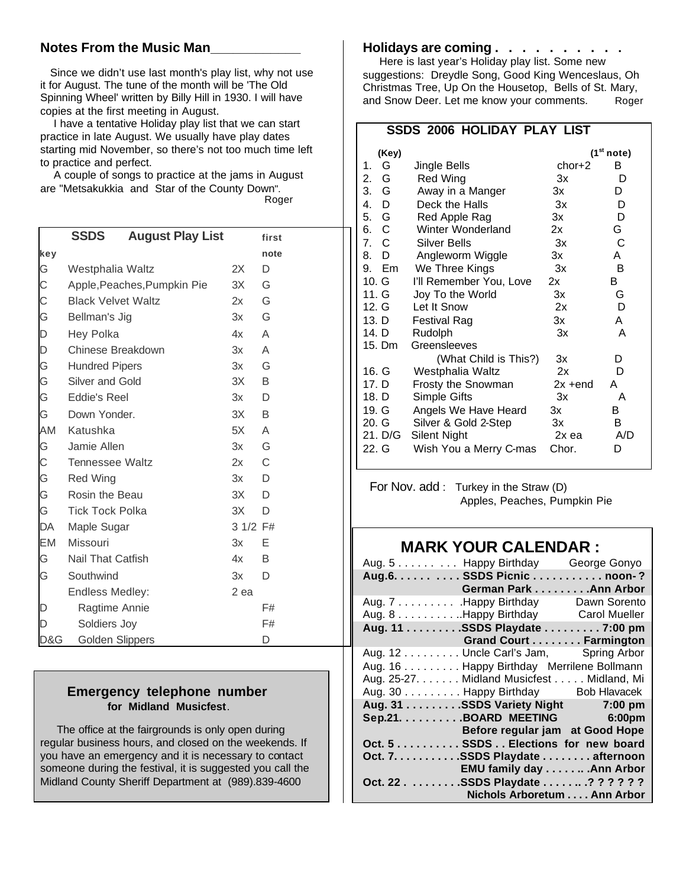## **Notes From the Music Man\_\_\_\_\_\_\_\_\_\_\_\_**

 Since we didn't use last month's play list, why not use it for August. The tune of the month will be 'The Old Spinning Wheel' written by Billy Hill in 1930. I will have copies at the first meeting in August.

 I have a tentative Holiday play list that we can start practice in late August. We usually have play dates starting mid November, so there's not too much time left to practice and perfect.

 A couple of songs to practice at the jams in August are "Metsakukkia and Star of the County Down". Roger

|     | <b>SSDS</b>                 | <b>August Play List</b> |          | first |
|-----|-----------------------------|-------------------------|----------|-------|
| key |                             |                         |          | note  |
| G   | Westphalia Waltz            |                         | 2X       | D     |
| С   | Apple, Peaches, Pumpkin Pie |                         | 3X       | G     |
| C   | <b>Black Velvet Waltz</b>   |                         | 2x       | G     |
| G   | Bellman's Jig               |                         | 3x       | G     |
| D   | Hey Polka                   |                         | 4x       | A     |
| D   | Chinese Breakdown           |                         | 3x       | A     |
| G   | <b>Hundred Pipers</b>       |                         | 3x       | G     |
| G   | Silver and Gold             |                         | 3X       | B     |
| G   | Eddie's Reel                |                         | 3x       | D     |
| G   | Down Yonder.                |                         | 3X       | B     |
| AM  | Katushka                    |                         | 5X       | A     |
| G   | Jamie Allen                 |                         | 3x       | G     |
| С   | <b>Tennessee Waltz</b>      |                         | 2x       | С     |
| G   | <b>Red Wing</b>             |                         | 3x       | D     |
| G   | Rosin the Beau              |                         | 3X       | D     |
| G   | <b>Tick Tock Polka</b>      |                         | 3X       | D     |
| DA  | Maple Sugar                 |                         | 3 1/2 F# |       |
| EM  | Missouri                    |                         | 3x       | Е     |
| G   | Nail That Catfish           |                         | 4x       | B     |
| G   | Southwind                   |                         | 3x       | D     |
|     | <b>Endless Medley:</b>      |                         | 2 ea     |       |
| D   | Ragtime Annie               |                         |          | F#    |
| D   | Soldiers Joy                |                         |          | F#    |
| D&G | Golden Slippers             |                         |          | D     |

## **Emergency telephone number for Midland Musicfest**.

 The office at the fairgrounds is only open during regular business hours, and closed on the weekends. If you have an emergency and it is necessary to contact someone during the festival, it is suggested you call the Midland County Sheriff Department at (989).839-4600

#### **Holidays are coming . . . . . . . . . .**

 Here is last year's Holiday play list. Some new suggestions: Dreydle Song, Good King Wenceslaus, Oh Christmas Tree, Up On the Housetop, Bells of St. Mary, and Snow Deer. Let me know your comments. Roger

## **SSDS 2006 HOLIDAY PLAY LIST**

| (Key)                                 |                         |            | (1 <sup>st</sup> note) |
|---------------------------------------|-------------------------|------------|------------------------|
| G<br>1.                               | Jingle Bells            | $chor+2$   | в                      |
| 2.<br>G                               | Red Wing                | 3x         | D                      |
| 3. G                                  | Away in a Manger        | 3x         | D                      |
| $\mathbf{4}$ .<br>D                   | Deck the Halls          | 3x         | D                      |
| 5. G                                  | Red Apple Rag           | Зx         | D                      |
| 6. C                                  | Winter Wonderland       | 2x         | G.                     |
| - C<br>$7_{\scriptscriptstyle{\sim}}$ | <b>Silver Bells</b>     | $3x$       | C                      |
| 8.<br>- D                             | Angleworm Wiggle        | 3x         | A                      |
| 9.<br>Em                              | We Three Kings          | 3x         | в                      |
| 10. G                                 | I'll Remember You, Love | 2x         | в                      |
| 11. G                                 | Joy To the World        | 3x         | G                      |
| 12. G                                 | Let It Snow             | 2x         | D                      |
| 13. D                                 | <b>Festival Rag</b>     | 3x         | A                      |
| 14. D                                 | Rudolph                 | 3x         | A                      |
| 15. Dm                                | Greensleeves            |            |                        |
|                                       | (What Child is This?)   | Зx         | D                      |
| 16. G                                 | Westphalia Waltz        | 2x         | D                      |
| 17. D                                 | Frosty the Snowman      | $2x + end$ | А                      |
| 18. D                                 | Simple Gifts            | Зx         | A                      |
| 19. G                                 | Angels We Have Heard    | 3x         | в                      |
| 20. G                                 | Silver & Gold 2-Step    | 3x         | в                      |
| 21. D/G                               | Silent Night            | 2x ea      | A/D                    |
| 22. G                                 | Wish You a Merry C-mas  | Chor.      | D                      |

 For Nov. add : Turkey in the Straw (D) Apples, Peaches, Pumpkin Pie

# **MARK YOUR CALENDAR :**

| Aug. 5 Happy Birthday George Gonyo        |  |
|-------------------------------------------|--|
| Aug.6. SSDS Picnic noon-?                 |  |
| <b>Example 20 German Park Ann Arbor</b>   |  |
| Aug. 7 Happy Birthday Dawn Sorento        |  |
| Aug. 8 Happy Birthday Carol Mueller       |  |
| Aug. 11 SSDS Playdate 7:00 pm             |  |
| Grand Court Farmington                    |  |
| Aug. 12 Uncle Carl's Jam, Spring Arbor    |  |
| Aug. 16 Happy Birthday Merrilene Bollmann |  |
| Aug. 25-27. Midland Musicfest Midland, Mi |  |
| Aug. 30 Happy Birthday Bob Hlavacek       |  |
| Aug. 31 SSDS Variety Night 7:00 pm        |  |
| Sep.21. BOARD MEETING 6:00pm              |  |
| Before regular jam at Good Hope           |  |
| Oct. 5 SSDS Elections for new board       |  |
| Oct. 7. SSDS Playdate afternoon           |  |
| EMU family day Ann Arbor                  |  |
| Oct. 22 SSDS Playdate ? ? ? ? ? ?         |  |
| Nichols Arboretum Ann Arbor               |  |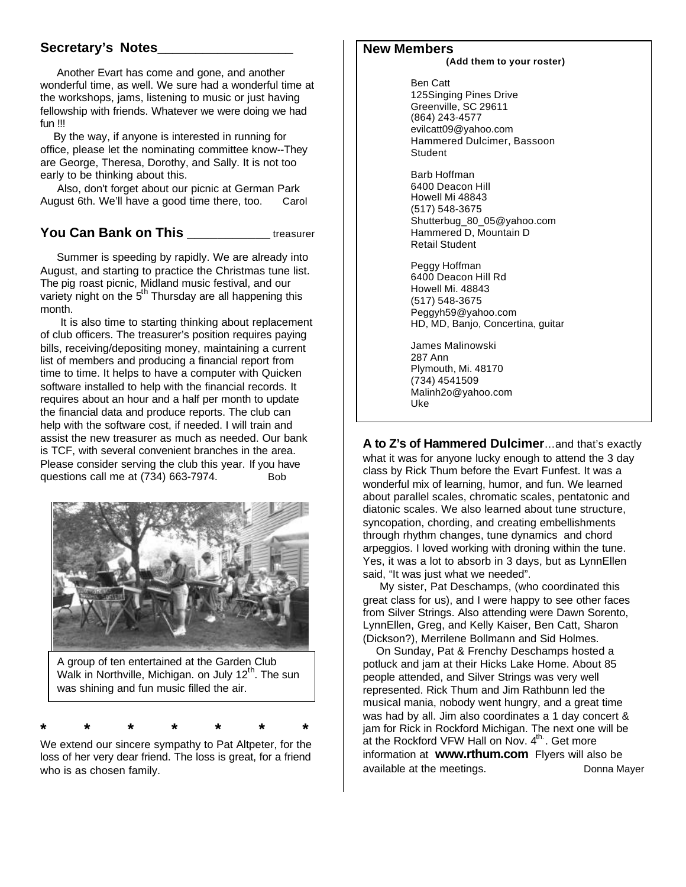## **Secretary's Notes\_\_\_\_\_\_\_\_\_\_\_\_\_\_\_\_\_\_**

 Another Evart has come and gone, and another wonderful time, as well. We sure had a wonderful time at the workshops, jams, listening to music or just having fellowship with friends. Whatever we were doing we had fun !!!

 By the way, if anyone is interested in running for office, please let the nominating committee know--They are George, Theresa, Dorothy, and Sally. It is not too early to be thinking about this.

 Also, don't forget about our picnic at German Park August 6th. We'll have a good time there, too. Carol

## **You Can Bank on This Example 20 and Streasurer**

 Summer is speeding by rapidly. We are already into August, and starting to practice the Christmas tune list. The pig roast picnic, Midland music festival, and our variety night on the 5<sup>th</sup> Thursday are all happening this month.

 It is also time to starting thinking about replacement of club officers. The treasurer's position requires paying bills, receiving/depositing money, maintaining a current list of members and producing a financial report from time to time. It helps to have a computer with Quicken software installed to help with the financial records. It requires about an hour and a half per month to update the financial data and produce reports. The club can help with the software cost, if needed. I will train and assist the new treasurer as much as needed. Our bank is TCF, with several convenient branches in the area. Please consider serving the club this year. If you have questions call me at (734) 663-7974. Bob



A group of ten entertained at the Garden Club Walk in Northville, Michigan. on July  $12<sup>th</sup>$ . The sun was shining and fun music filled the air.

**\* \* \* \* \* \* \***

We extend our sincere sympathy to Pat Altpeter, for the loss of her very dear friend. The loss is great, for a friend who is as chosen family.

## **New Members**

#### **(Add them to your roster)**

 Ben Catt 125Singing Pines Drive Greenville, SC 29611 (864) 243-4577 evilcatt09@yahoo.com Hammered Dulcimer, Bassoon **Student** 

 Barb Hoffman 6400 Deacon Hill Howell Mi 48843 (517) 548-3675 Shutterbug\_80\_05@yahoo.com Hammered D, Mountain D Retail Student

 Peggy Hoffman 6400 Deacon Hill Rd Howell Mi. 48843 (517) 548-3675 Peggyh59@yahoo.com HD, MD, Banjo, Concertina, guitar

 James Malinowski 287 Ann Plymouth, Mi. 48170 (734) 4541509 Malinh2o@yahoo.com Uke

**A to Z's of Hammered Dulcimer**…and that's exactly what it was for anyone lucky enough to attend the 3 day class by Rick Thum before the Evart Funfest. It was a wonderful mix of learning, humor, and fun. We learned about parallel scales, chromatic scales, pentatonic and diatonic scales. We also learned about tune structure, syncopation, chording, and creating embellishments through rhythm changes, tune dynamics and chord arpeggios. I loved working with droning within the tune. Yes, it was a lot to absorb in 3 days, but as LynnEllen said, "It was just what we needed".

 My sister, Pat Deschamps, (who coordinated this great class for us), and I were happy to see other faces from Silver Strings. Also attending were Dawn Sorento, LynnEllen, Greg, and Kelly Kaiser, Ben Catt, Sharon (Dickson?), Merrilene Bollmann and Sid Holmes.

 On Sunday, Pat & Frenchy Deschamps hosted a potluck and jam at their Hicks Lake Home. About 85 people attended, and Silver Strings was very well represented. Rick Thum and Jim Rathbunn led the musical mania, nobody went hungry, and a great time was had by all. Jim also coordinates a 1 day concert & jam for Rick in Rockford Michigan. The next one will be at the Rockford VFW Hall on Nov. 4<sup>th</sup>. Get more information at **www.rthum.com** Flyers will also be available at the meetings. The meeting bonna Mayer